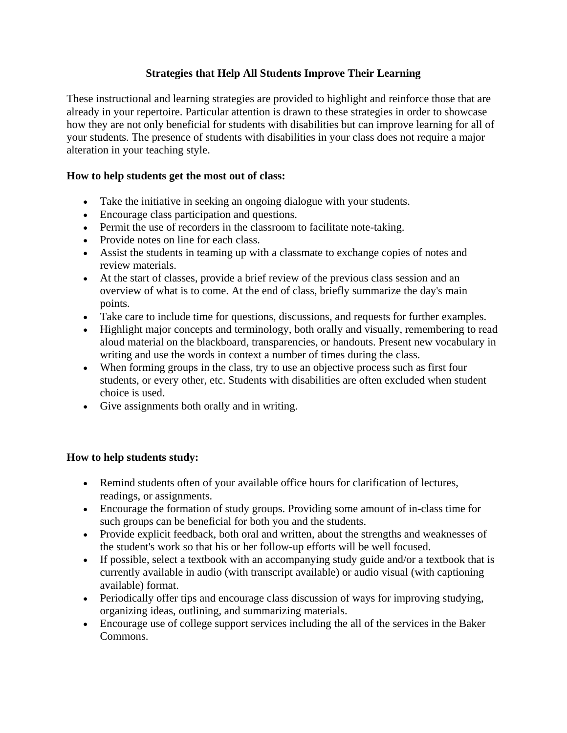## **Strategies that Help All Students Improve Their Learning**

These instructional and learning strategies are provided to highlight and reinforce those that are already in your repertoire. Particular attention is drawn to these strategies in order to showcase how they are not only beneficial for students with disabilities but can improve learning for all of your students. The presence of students with disabilities in your class does not require a major alteration in your teaching style.

## **How to help students get the most out of class:**

- Take the initiative in seeking an ongoing dialogue with your students.
- Encourage class participation and questions.
- Permit the use of recorders in the classroom to facilitate note-taking.
- Provide notes on line for each class.
- Assist the students in teaming up with a classmate to exchange copies of notes and review materials.
- At the start of classes, provide a brief review of the previous class session and an overview of what is to come. At the end of class, briefly summarize the day's main points.
- Take care to include time for questions, discussions, and requests for further examples.
- Highlight major concepts and terminology, both orally and visually, remembering to read aloud material on the blackboard, transparencies, or handouts. Present new vocabulary in writing and use the words in context a number of times during the class.
- When forming groups in the class, try to use an objective process such as first four students, or every other, etc. Students with disabilities are often excluded when student choice is used.
- Give assignments both orally and in writing.

## **How to help students study:**

- Remind students often of your available office hours for clarification of lectures, readings, or assignments.
- Encourage the formation of study groups. Providing some amount of in-class time for such groups can be beneficial for both you and the students.
- Provide explicit feedback, both oral and written, about the strengths and weaknesses of the student's work so that his or her follow-up efforts will be well focused.
- If possible, select a textbook with an accompanying study guide and/or a textbook that is currently available in audio (with transcript available) or audio visual (with captioning available) format.
- Periodically offer tips and encourage class discussion of ways for improving studying, organizing ideas, outlining, and summarizing materials.
- Encourage use of college support services including the all of the services in the Baker Commons.